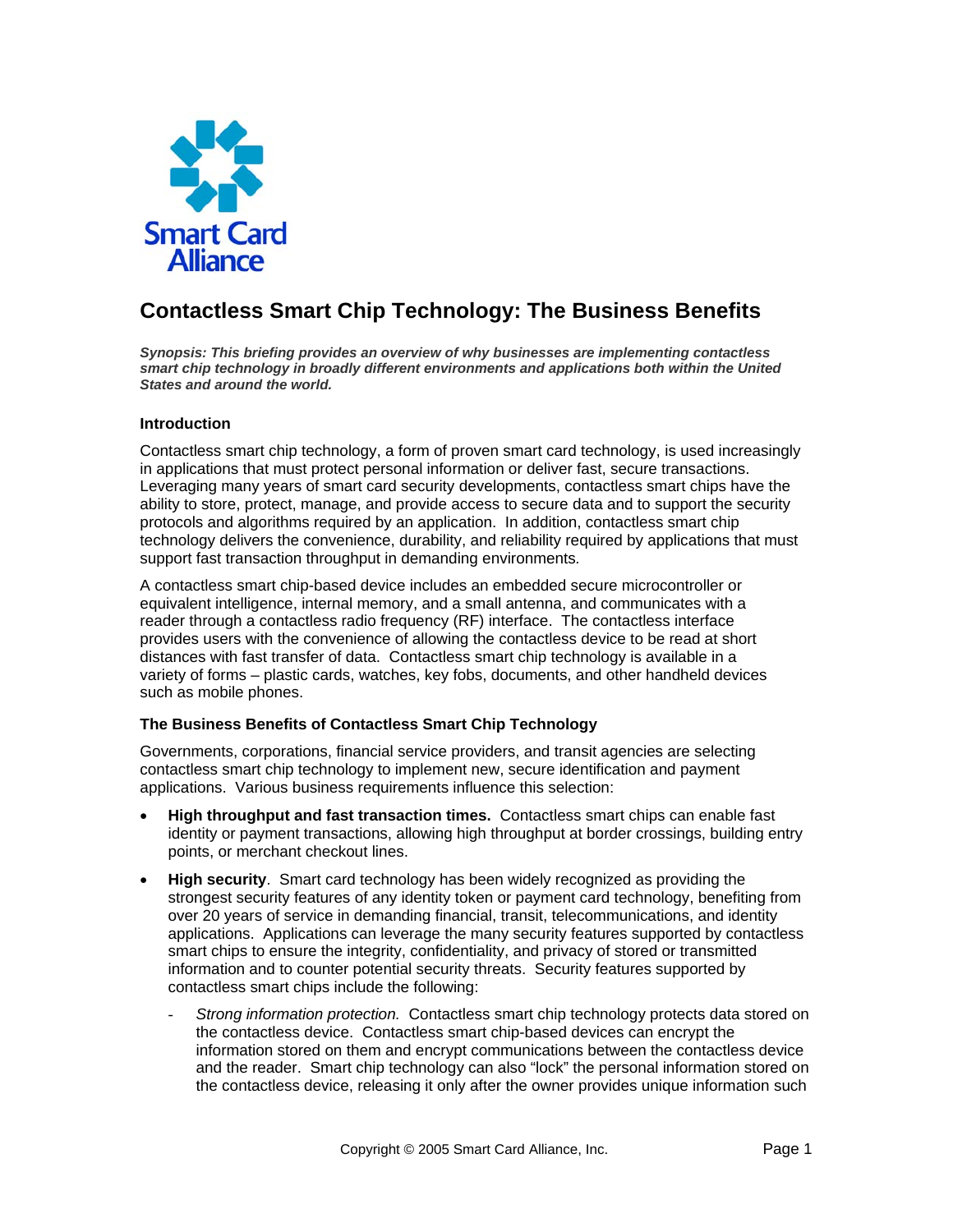

# **Contactless Smart Chip Technology: The Business Benefits**

*Synopsis: This briefing provides an overview of why businesses are implementing contactless smart chip technology in broadly different environments and applications both within the United States and around the world.*

### **Introduction**

Contactless smart chip technology, a form of proven smart card technology, is used increasingly in applications that must protect personal information or deliver fast, secure transactions. Leveraging many years of smart card security developments, contactless smart chips have the ability to store, protect, manage, and provide access to secure data and to support the security protocols and algorithms required by an application. In addition, contactless smart chip technology delivers the convenience, durability, and reliability required by applications that must support fast transaction throughput in demanding environments*.* 

A contactless smart chip-based device includes an embedded secure microcontroller or equivalent intelligence, internal memory, and a small antenna, and communicates with a reader through a contactless radio frequency (RF) interface. The contactless interface provides users with the convenience of allowing the contactless device to be read at short distances with fast transfer of data. Contactless smart chip technology is available in a variety of forms – plastic cards, watches, key fobs, documents, and other handheld devices such as mobile phones.

### **The Business Benefits of Contactless Smart Chip Technology**

Governments, corporations, financial service providers, and transit agencies are selecting contactless smart chip technology to implement new, secure identification and payment applications. Various business requirements influence this selection:

- **High throughput and fast transaction times.** Contactless smart chips can enable fast identity or payment transactions, allowing high throughput at border crossings, building entry points, or merchant checkout lines.
- **High security**. Smart card technology has been widely recognized as providing the strongest security features of any identity token or payment card technology, benefiting from over 20 years of service in demanding financial, transit, telecommunications, and identity applications.Applications can leverage the many security features supported by contactless smart chips to ensure the integrity, confidentiality, and privacy of stored or transmitted information and to counter potential security threats. Security features supported by contactless smart chips include the following:
	- *Strong information protection.* Contactless smart chip technology protects data stored on the contactless device. Contactless smart chip-based devices can encrypt the information stored on them and encrypt communications between the contactless device and the reader. Smart chip technology can also "lock" the personal information stored on the contactless device, releasing it only after the owner provides unique information such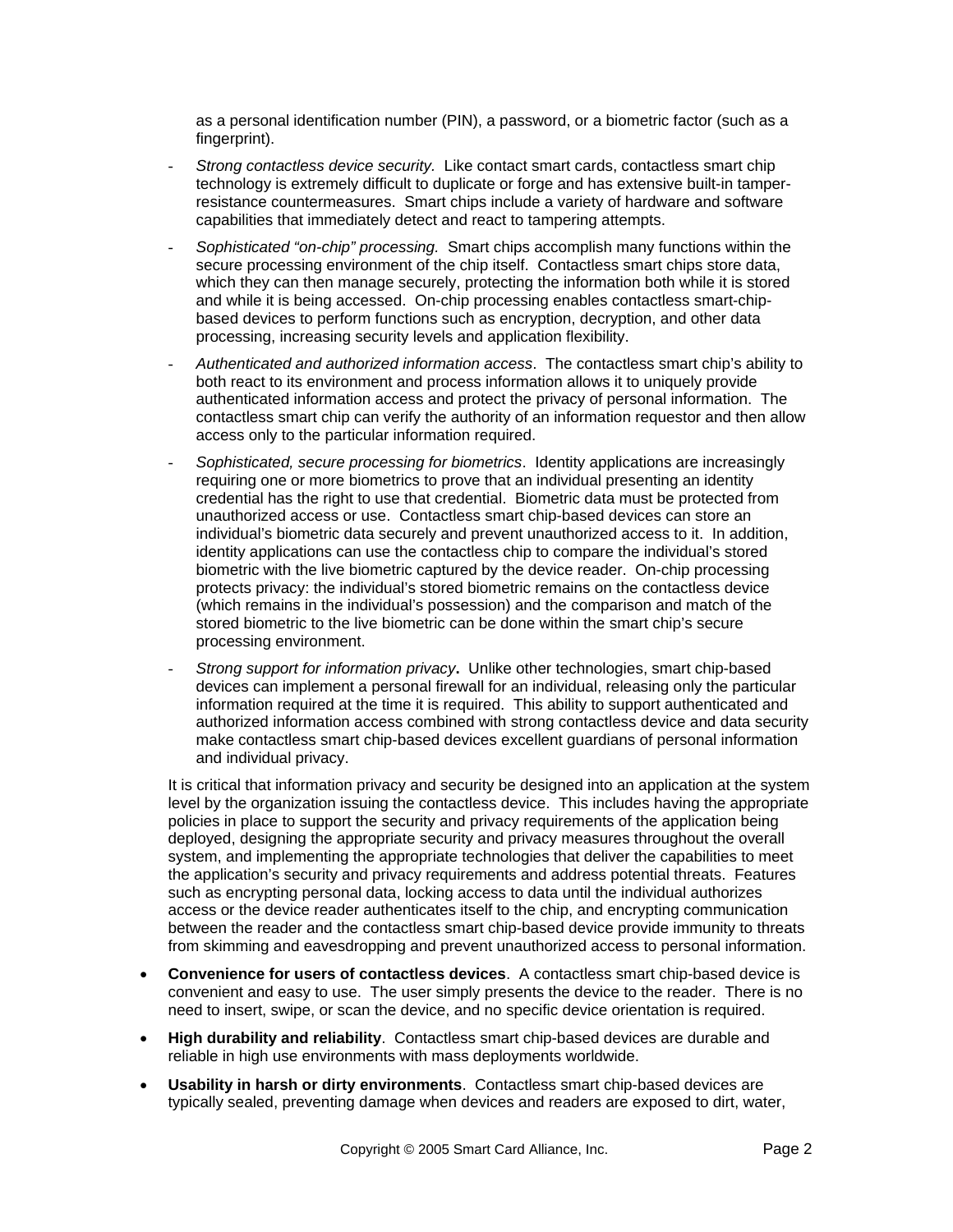as a personal identification number (PIN), a password, or a biometric factor (such as a fingerprint).

- *Strong contactless device security.* Like contact smart cards, contactless smart chip technology is extremely difficult to duplicate or forge and has extensive built-in tamperresistance countermeasures. Smart chips include a variety of hardware and software capabilities that immediately detect and react to tampering attempts.
- *Sophisticated "on-chip" processing.* Smart chips accomplish many functions within the secure processing environment of the chip itself. Contactless smart chips store data, which they can then manage securely, protecting the information both while it is stored and while it is being accessed. On-chip processing enables contactless smart-chipbased devices to perform functions such as encryption, decryption, and other data processing, increasing security levels and application flexibility.
- *Authenticated and authorized information access*. The contactless smart chip's ability to both react to its environment and process information allows it to uniquely provide authenticated information access and protect the privacy of personal information. The contactless smart chip can verify the authority of an information requestor and then allow access only to the particular information required.
- *Sophisticated, secure processing for biometrics*. Identity applications are increasingly requiring one or more biometrics to prove that an individual presenting an identity credential has the right to use that credential. Biometric data must be protected from unauthorized access or use. Contactless smart chip-based devices can store an individual's biometric data securely and prevent unauthorized access to it. In addition, identity applications can use the contactless chip to compare the individual's stored biometric with the live biometric captured by the device reader. On-chip processing protects privacy: the individual's stored biometric remains on the contactless device (which remains in the individual's possession) and the comparison and match of the stored biometric to the live biometric can be done within the smart chip's secure processing environment.
- *Strong support for information privacy***.** Unlike other technologies, smart chip-based devices can implement a personal firewall for an individual, releasing only the particular information required at the time it is required. This ability to support authenticated and authorized information access combined with strong contactless device and data security make contactless smart chip-based devices excellent guardians of personal information and individual privacy.

It is critical that information privacy and security be designed into an application at the system level by the organization issuing the contactless device. This includes having the appropriate policies in place to support the security and privacy requirements of the application being deployed, designing the appropriate security and privacy measures throughout the overall system, and implementing the appropriate technologies that deliver the capabilities to meet the application's security and privacy requirements and address potential threats. Features such as encrypting personal data, locking access to data until the individual authorizes access or the device reader authenticates itself to the chip, and encrypting communication between the reader and the contactless smart chip-based device provide immunity to threats from skimming and eavesdropping and prevent unauthorized access to personal information.

- **Convenience for users of contactless devices**. A contactless smart chip-based device is convenient and easy to use. The user simply presents the device to the reader. There is no need to insert, swipe, or scan the device, and no specific device orientation is required.
- **High durability and reliability**. Contactless smart chip-based devices are durable and reliable in high use environments with mass deployments worldwide.
- **Usability in harsh or dirty environments**. Contactless smart chip-based devices are typically sealed, preventing damage when devices and readers are exposed to dirt, water,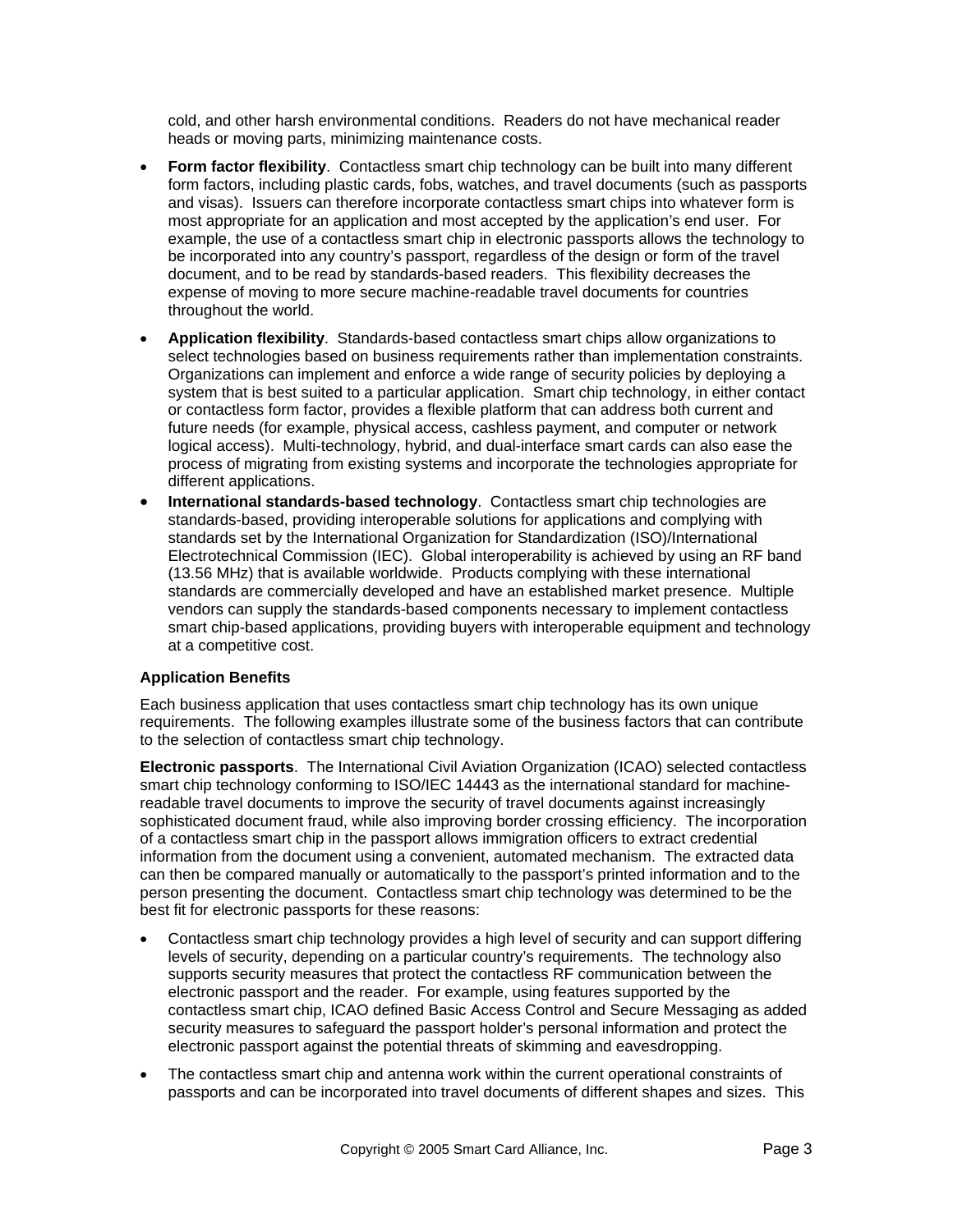cold, and other harsh environmental conditions. Readers do not have mechanical reader heads or moving parts, minimizing maintenance costs.

- **Form factor flexibility.** Contactless smart chip technology can be built into many different form factors, including plastic cards, fobs, watches, and travel documents (such as passports and visas). Issuers can therefore incorporate contactless smart chips into whatever form is most appropriate for an application and most accepted by the application's end user. For example, the use of a contactless smart chip in electronic passports allows the technology to be incorporated into any country's passport, regardless of the design or form of the travel document, and to be read by standards-based readers. This flexibility decreases the expense of moving to more secure machine-readable travel documents for countries throughout the world.
- **Application flexibility**. Standards-based contactless smart chips allow organizations to select technologies based on business requirements rather than implementation constraints. Organizations can implement and enforce a wide range of security policies by deploying a system that is best suited to a particular application. Smart chip technology, in either contact or contactless form factor, provides a flexible platform that can address both current and future needs (for example, physical access, cashless payment, and computer or network logical access). Multi-technology, hybrid, and dual-interface smart cards can also ease the process of migrating from existing systems and incorporate the technologies appropriate for different applications.
- **International standards-based technology**. Contactless smart chip technologies are standards-based, providing interoperable solutions for applications and complying with standards set by the International Organization for Standardization (ISO)/International Electrotechnical Commission (IEC). Global interoperability is achieved by using an RF band (13.56 MHz) that is available worldwide. Products complying with these international standards are commercially developed and have an established market presence. Multiple vendors can supply the standards-based components necessary to implement contactless smart chip-based applications, providing buyers with interoperable equipment and technology at a competitive cost.

### **Application Benefits**

Each business application that uses contactless smart chip technology has its own unique requirements. The following examples illustrate some of the business factors that can contribute to the selection of contactless smart chip technology.

**Electronic passports**. The International Civil Aviation Organization (ICAO) selected contactless smart chip technology conforming to ISO/IEC 14443 as the international standard for machinereadable travel documents to improve the security of travel documents against increasingly sophisticated document fraud, while also improving border crossing efficiency. The incorporation of a contactless smart chip in the passport allows immigration officers to extract credential information from the document using a convenient, automated mechanism. The extracted data can then be compared manually or automatically to the passport's printed information and to the person presenting the document. Contactless smart chip technology was determined to be the best fit for electronic passports for these reasons:

- Contactless smart chip technology provides a high level of security and can support differing levels of security, depending on a particular country's requirements. The technology also supports security measures that protect the contactless RF communication between the electronic passport and the reader. For example, using features supported by the contactless smart chip, ICAO defined Basic Access Control and Secure Messaging as added security measures to safeguard the passport holder's personal information and protect the electronic passport against the potential threats of skimming and eavesdropping.
- The contactless smart chip and antenna work within the current operational constraints of passports and can be incorporated into travel documents of different shapes and sizes. This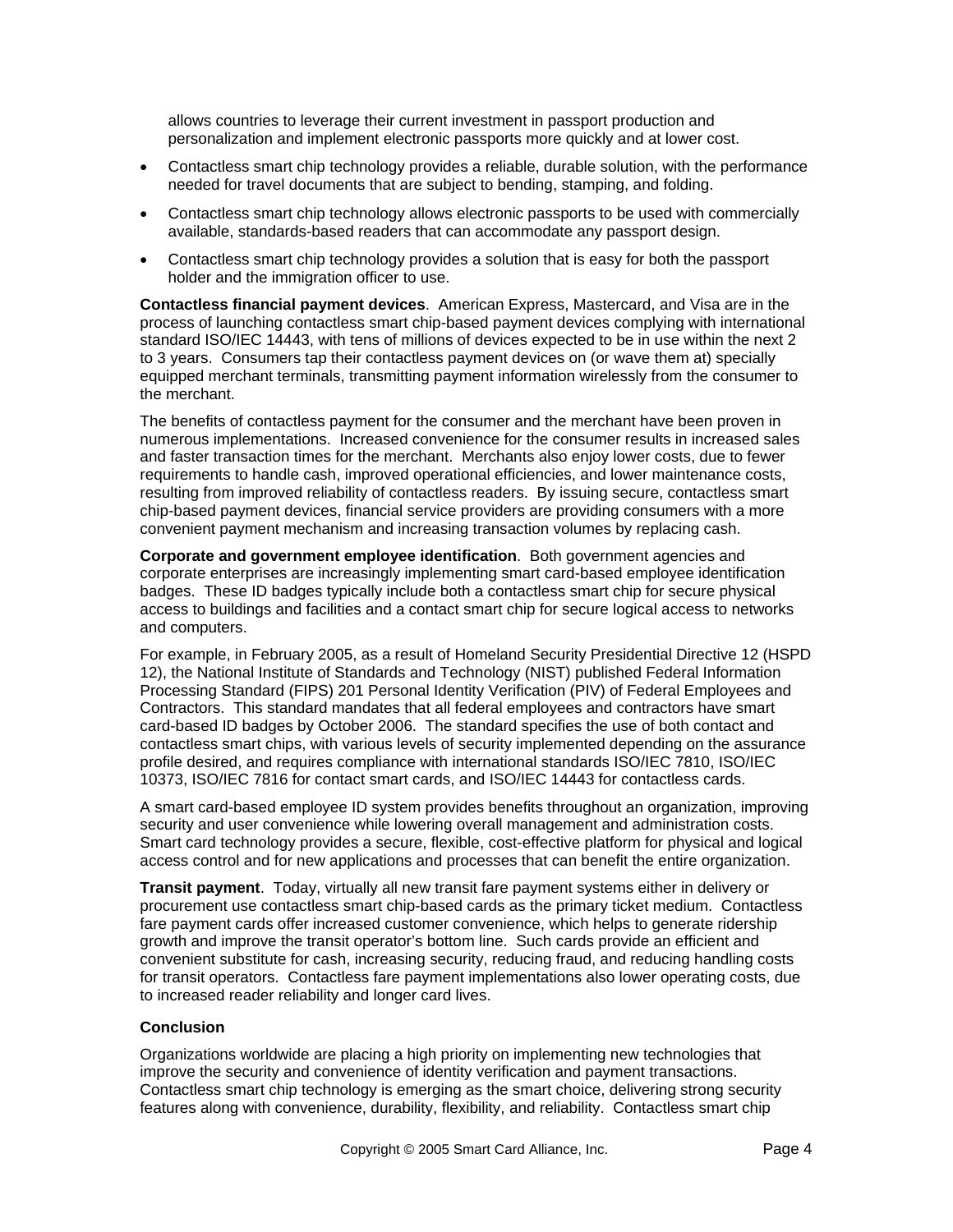allows countries to leverage their current investment in passport production and personalization and implement electronic passports more quickly and at lower cost.

- Contactless smart chip technology provides a reliable, durable solution, with the performance needed for travel documents that are subject to bending, stamping, and folding.
- Contactless smart chip technology allows electronic passports to be used with commercially available, standards-based readers that can accommodate any passport design.
- Contactless smart chip technology provides a solution that is easy for both the passport holder and the immigration officer to use.

**Contactless financial payment devices**. American Express, Mastercard, and Visa are in the process of launching contactless smart chip-based payment devices complying with international standard ISO/IEC 14443, with tens of millions of devices expected to be in use within the next 2 to 3 years. Consumers tap their contactless payment devices on (or wave them at) specially equipped merchant terminals, transmitting payment information wirelessly from the consumer to the merchant.

The benefits of contactless payment for the consumer and the merchant have been proven in numerous implementations. Increased convenience for the consumer results in increased sales and faster transaction times for the merchant. Merchants also enjoy lower costs, due to fewer requirements to handle cash, improved operational efficiencies, and lower maintenance costs, resulting from improved reliability of contactless readers. By issuing secure, contactless smart chip-based payment devices, financial service providers are providing consumers with a more convenient payment mechanism and increasing transaction volumes by replacing cash.

**Corporate and government employee identification**. Both government agencies and corporate enterprises are increasingly implementing smart card-based employee identification badges. These ID badges typically include both a contactless smart chip for secure physical access to buildings and facilities and a contact smart chip for secure logical access to networks and computers.

For example, in February 2005, as a result of Homeland Security Presidential Directive 12 (HSPD 12), the National Institute of Standards and Technology (NIST) published Federal Information Processing Standard (FIPS) 201 Personal Identity Verification (PIV) of Federal Employees and Contractors. This standard mandates that all federal employees and contractors have smart card-based ID badges by October 2006. The standard specifies the use of both contact and contactless smart chips, with various levels of security implemented depending on the assurance profile desired, and requires compliance with international standards ISO/IEC 7810, ISO/IEC 10373, ISO/IEC 7816 for contact smart cards, and ISO/IEC 14443 for contactless cards.

A smart card-based employee ID system provides benefits throughout an organization, improving security and user convenience while lowering overall management and administration costs. Smart card technology provides a secure, flexible, cost-effective platform for physical and logical access control and for new applications and processes that can benefit the entire organization.

**Transit payment**. Today, virtually all new transit fare payment systems either in delivery or procurement use contactless smart chip-based cards as the primary ticket medium. Contactless fare payment cards offer increased customer convenience, which helps to generate ridership growth and improve the transit operator's bottom line. Such cards provide an efficient and convenient substitute for cash, increasing security, reducing fraud, and reducing handling costs for transit operators. Contactless fare payment implementations also lower operating costs, due to increased reader reliability and longer card lives.

#### **Conclusion**

Organizations worldwide are placing a high priority on implementing new technologies that improve the security and convenience of identity verification and payment transactions. Contactless smart chip technology is emerging as the smart choice, delivering strong security features along with convenience, durability, flexibility, and reliability. Contactless smart chip